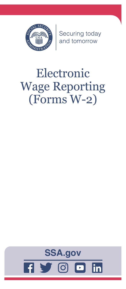

Securing today<br>and tomorrow

# Electronic Wage Reporting (Forms W-2)

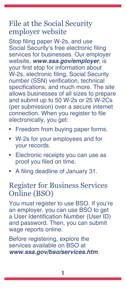# File at the Social Security employer website

Stop filing paper W-2s, and use Social Security's free electronic filing services for businesses. Our employer website, *[www.ssa.gov/employer](https://www.ssa.gov/employer)*, is your first stop for information about W-2s, electronic filing, Social Security number (SSN) verification, technical specifications, and much more. The site allows businesses of all sizes to prepare and submit up to 50 W-2s or 25 W-2Cs (per submission) over a secure internet connection. When you register to file electronically, you get:

- Freedom from buying paper forms.
- W-2s for your employees and for your records.
- Electronic receipts you can use as proof you filed on time.
- A filing deadline of January 31.

### Register for Business Services Online (BSO)

You must register to use BSO. If you're an employer, you can use BSO to get a User Identification Number (User ID) and password. Then, you can submit wage reports online.

Before registering, explore the services available on BSO at *[www.ssa.gov/bso/services.htm](https://www.ssa.gov/bso/services.htm)*.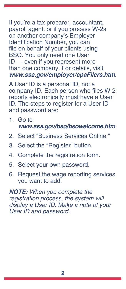If you're a tax preparer, accountant, payroll agent, or if you process W-2s on another company's Employer Identification Number, you can file on behalf of your clients using BSO. You only need one User ID — even if you represent more than one company. For details, visit *[www.ssa.gov/employer/cpaFilers.htm](https://www.ssa.gov/employer/cpaFilers.htm)*.

A User ID is a personal ID, not a company ID. Each person who files W-2 reports electronically must have a User ID. The steps to register for a User ID and password are:

- 1. Go to *[www.ssa.gov/bso/bsowelcome.htm](https://www.ssa.gov/bso/bsowelcome.htm)*.
- 2. Select "Business Services Online."
- 3. Select the "Register" button.
- 4. Complete the registration form.
- 5. Select your own password.
- 6. Request the wage reporting services you want to add.

*NOTE: When you complete the registration process, the system will display a User ID. Make a note of your User ID and password.*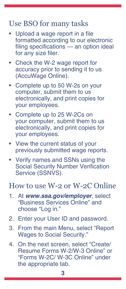# Use BSO for many tasks

- Upload a wage report in a file formatted according to our electronic filing specifications — an option ideal for any size filer.
- Check the W-2 wage report for accuracy prior to sending it to us (AccuWage Online).
- Complete up to 50 W-2s on your computer, submit them to us electronically, and print copies for your employees.
- Complete up to 25 W-2Cs on your computer, submit them to us electronically, and print copies for your employees.
- View the current status of your previously submitted wage reports.
- Verify names and SSNs using the Social Security Number Verification Service (SSNVS).

#### How to use W-2 or W-2C Online

- 1. At *[www.ssa.gov/employer](https://www.ssa.gov/employer)*, select "Business Services Online" and choose "Log in."
- 2. Enter your User ID and password.
- 3. From the main Menu, select "Report Wages to Social Security."
- 4. On the next screen, select "Create/ Resume Forms W-2/W-3 Online" or "Forms W-2C/ W-3C Online" under the appropriate tab.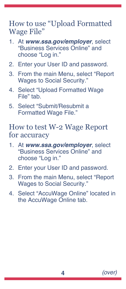How to use "Upload Formatted Wage File"

- 1. At *[www.ssa.gov/employer](https://www.ssa.gov/employer)*, select "Business Services Online" and choose "Log in."
- 2. Enter your User ID and password.
- 3. From the main Menu, select "Report Wages to Social Security."
- 4. Select "Upload Formatted Wage File" tab.
- 5. Select "Submit/Resubmit a Formatted Wage File."

#### How to test W-2 Wage Report for accuracy

- 1. At *[www.ssa.gov/employer](https://www.ssa.gov/employer)*, select "Business Services Online" and choose "Log in."
- 2. Enter your User ID and password.
- 3. From the main Menu, select "Report Wages to Social Security."
- 4. Select "AccuWage Online" located in the AccuWage Online tab.

**4** *(over)*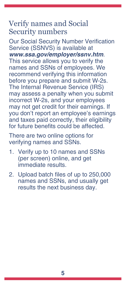# Verify names and Social Security numbers

Our Social Security Number Verification Service (SSNVS) is available at *[www.ssa.gov/employer/ssnv.htm](https://www.ssa.gov/employer/ssnv.htm)*.

This service allows you to verify the names and SSNs of employees. We recommend verifying this information before you prepare and submit W-2s. The Internal Revenue Service (IRS) may assess a penalty when you submit incorrect W-2s, and your employees may not get credit for their earnings. If you don't report an employee's earnings and taxes paid correctly, their eligibility for future benefits could be affected.

There are two online options for verifying names and SSNs.

- 1. Verify up to 10 names and SSNs (per screen) online, and get immediate results.
- 2. Upload batch files of up to 250,000 names and SSNs, and usually get results the next business day.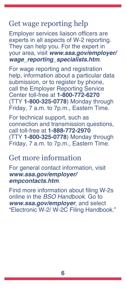# Get wage reporting help

Employer services liaison officers are experts in all aspects of W-2 reporting. They can help you. For the expert in your area, visit *w[ww.ssa.gov/employer/](https://www.ssa.gov/employer/wage_reporting_specialists.htm) [wage\\_reporting\\_specialists.htm](https://www.ssa.gov/employer/wage_reporting_specialists.htm)*.

For wage reporting and registration help, information about a particular data submission, or to register by phone, call the Employer Reporting Service Center toll-free at **1-800-772-6270** (TTY **1-800-325-0778**) Monday through Friday, 7 a.m. to 7p.m., Eastern Time.

For technical support, such as connection and transmission questions, call toll-free at **1-888-772-2970** (TTY **1-800-325-0778**) Monday through Friday, 7 a.m. to 7p.m., Eastern Time.

# Get more information

For general contact information, visit *[www.ssa.gov/employer/](https://www.ssa.gov/employer/empcontacts.htm) [empcontacts.htm](https://www.ssa.gov/employer/empcontacts.htm)*.

Find more information about filing W-2s online in the *BSO Handbook*. Go to *[www.ssa.gov/employer](https://www.ssa.gov/employer)*, and select "Electronic W-2/ W-2C Filing Handbook."